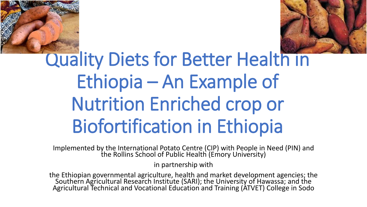



# Quality Diets for Better Health in Ethiopia – An Example of Nutrition Enriched crop or Biofortification in Ethiopia

Implemented by the International Potato Centre (CIP) with People in Need (PIN) and the Rollins School of Public Health (Emory University)

in partnership with

the Ethiopian governmental agriculture, health and market development agencies; the Southern Agricultural Research Institute (SARI); the University of Hawassa; and the Agricultural Technical and Vocational Education and Training (ATVET) College in Sodo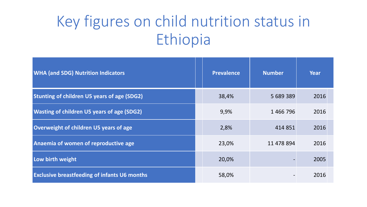## Key figures on child nutrition status in Ethiopia

| <b>WHA (and SDG) Nutrition Indicators</b>           | <b>Prevalence</b> | <b>Number</b> | <b>Year</b> |
|-----------------------------------------------------|-------------------|---------------|-------------|
| <b>Stunting of children U5 years of age (SDG2)</b>  | 38,4%             | 5 689 389     | 2016        |
| <b>Wasting of children U5 years of age (SDG2)</b>   | 9,9%              | 1466796       | 2016        |
| Overweight of children U5 years of age              | 2,8%              | 414 851       | 2016        |
| Anaemia of women of reproductive age                | 23,0%             | 11 478 894    | 2016        |
| Low birth weight                                    | 20,0%             |               | 2005        |
| <b>Exclusive breastfeeding of infants U6 months</b> | 58,0%             |               | 2016        |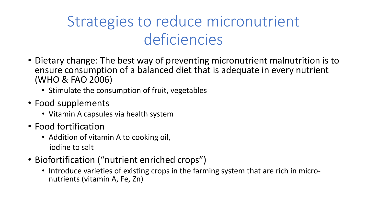### Strategies to reduce micronutrient deficiencies

- Dietary change: The best way of preventing micronutrient malnutrition is to ensure consumption of a balanced diet that is adequate in every nutrient (WHO & FAO 2006)
	- Stimulate the consumption of fruit, vegetables
- Food supplements
	- Vitamin A capsules via health system
- Food fortification
	- Addition of vitamin A to cooking oil, iodine to salt
- Biofortification ("nutrient enriched crops")
	- Introduce varieties of existing crops in the farming system that are rich in micronutrients (vitamin A, Fe, Zn)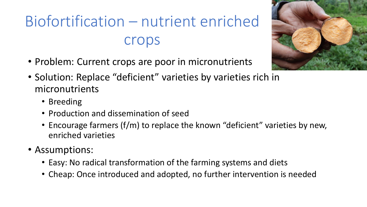## Biofortification – nutrient enriched crops

• Problem: Current crops are poor in micronutrients



- Solution: Replace "deficient" varieties by varieties rich in micronutrients
	- Breeding
	- Production and dissemination of seed
	- Encourage farmers (f/m) to replace the known "deficient" varieties by new, enriched varieties
- Assumptions:
	- Easy: No radical transformation of the farming systems and diets
	- Cheap: Once introduced and adopted, no further intervention is needed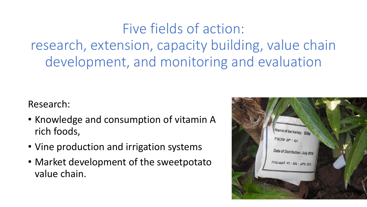Five fields of action: research, extension, capacity building, value chain development, and monitoring and evaluation

Research:

- Knowledge and consumption of vitamin A rich foods,
- Vine production and irrigation systems
- Market development of the sweetpotato value chain.

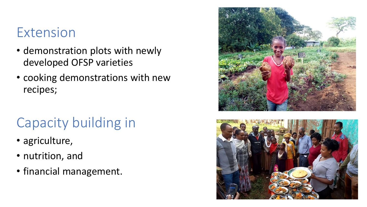#### Extension

- demonstration plots with newly developed OFSP varieties
- cooking demonstrations with new recipes;

### Capacity building in

- agriculture,
- nutrition, and
- financial management.



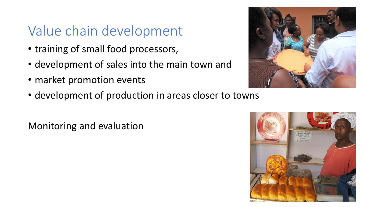#### Value chain development

- training of small food processors,
- development of sales into the main town and
- market promotion events
- development of production in areas closer to towns

Monitoring and evaluation



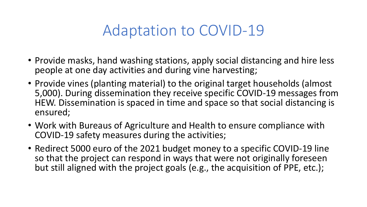#### Adaptation to COVID-19

- Provide masks, hand washing stations, apply social distancing and hire less people at one day activities and during vine harvesting;
- Provide vines (planting material) to the original target households (almost 5,000). During dissemination they receive specific COVID-19 messages from HEW. Dissemination is spaced in time and space so that social distancing is ensured;
- Work with Bureaus of Agriculture and Health to ensure compliance with COVID-19 safety measures during the activities;
- Redirect 5000 euro of the 2021 budget money to a specific COVID-19 line so that the project can respond in ways that were not originally foreseen but still aligned with the project goals (e.g., the acquisition of PPE, etc.);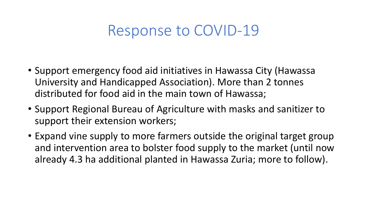#### Response to COVID-19

- Support emergency food aid initiatives in Hawassa City (Hawassa University and Handicapped Association). More than 2 tonnes distributed for food aid in the main town of Hawassa;
- Support Regional Bureau of Agriculture with masks and sanitizer to support their extension workers;
- Expand vine supply to more farmers outside the original target group and intervention area to bolster food supply to the market (until now already 4.3 ha additional planted in Hawassa Zuria; more to follow).